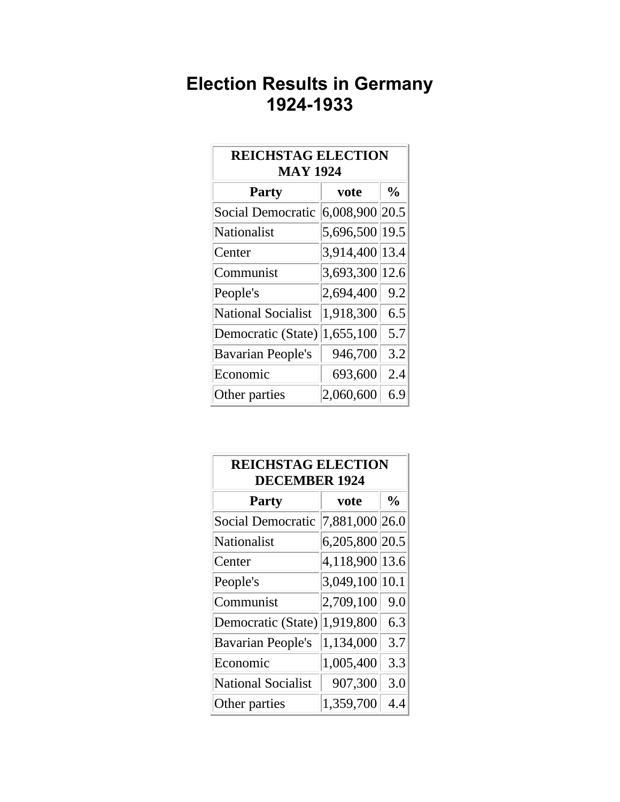## **Election Results in Germany 1924-1933**

| <b>REICHSTAG ELECTION</b><br><b>MAY 1924</b> |                |               |  |
|----------------------------------------------|----------------|---------------|--|
| <b>Party</b>                                 | vote           | $\frac{0}{0}$ |  |
| <b>Social Democratic</b>                     | 6,008,900 20.5 |               |  |
| Nationalist                                  | 5,696,500 19.5 |               |  |
| Center                                       | 3,914,400 13.4 |               |  |
| Communist                                    | 3,693,300      | 12.6          |  |
| People's                                     | 2,694,400      | 9.2           |  |
| <b>National Socialist</b>                    | 1,918,300      | 6.5           |  |
| Democratic (State)                           | 1,655,100      | 5.7           |  |
| <b>Bavarian People's</b>                     | 946,700        | 3.2           |  |
| Economic                                     | 693,600        | 2.4           |  |
| Other parties                                | 2,060,600      | 6.9           |  |

| <b>REICHSTAG ELECTION</b><br><b>DECEMBER 1924</b> |                |               |  |
|---------------------------------------------------|----------------|---------------|--|
| <b>Party</b>                                      | vote           | $\frac{0}{0}$ |  |
| <b>Social Democratic</b>                          | 7,881,000 26.0 |               |  |
| Nationalist                                       | 6,205,800 20.5 |               |  |
| Center                                            | 4,118,900      | 13.6          |  |
| People's                                          | 3,049,100      | 10.1          |  |
| Communist                                         | 2,709,100      | 9.0           |  |
| Democratic (State)                                | 1,919,800      | 6.3           |  |
| <b>Bavarian People's</b>                          | 1,134,000      | 3.7           |  |
| Economic                                          | 1,005,400      | 3.3           |  |
| <b>National Socialist</b>                         | 907,300        | 3.0           |  |
| Other parties                                     | 1,359,700      | 4.4           |  |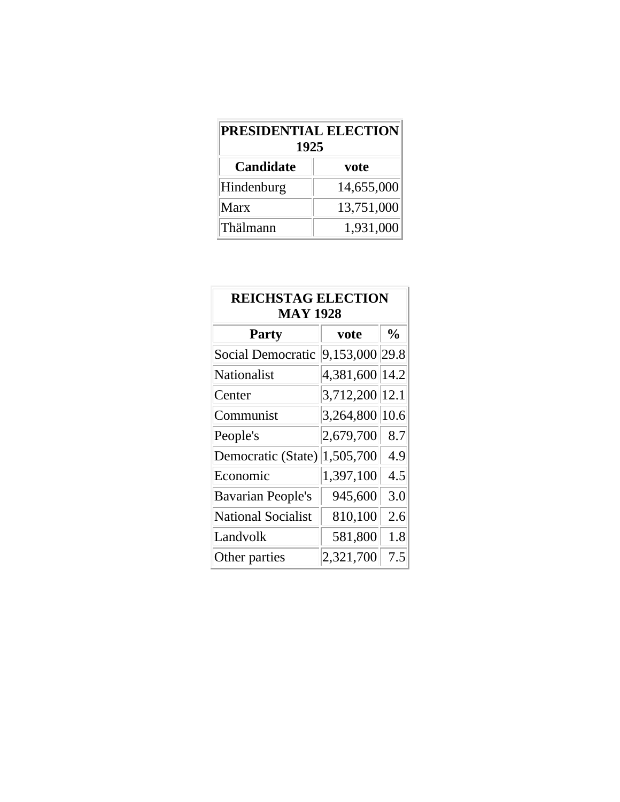| <b>PRESIDENTIAL ELECTION</b><br>1925 |            |  |  |
|--------------------------------------|------------|--|--|
| <b>Candidate</b>                     | vote       |  |  |
| Hindenburg                           | 14,655,000 |  |  |
| Marx                                 | 13,751,000 |  |  |
| Thälmann                             | 1,931,000  |  |  |

| <b>REICHSTAG ELECTION</b><br><b>MAY 1928</b> |                |               |
|----------------------------------------------|----------------|---------------|
| <b>Party</b>                                 | vote           | $\frac{0}{0}$ |
| Social Democratic                            | 9,153,000 29.8 |               |
| Nationalist                                  | 4,381,600 14.2 |               |
| Center                                       | 3,712,200 12.1 |               |
| Communist                                    | 3,264,800 10.6 |               |
| People's                                     | 2,679,700      | 8.7           |
| Democratic $(State)$ 1,505,700               |                | 4.9           |
| Economic                                     | 1,397,100      | 4.5           |
| <b>Bavarian People's</b>                     | 945,600        | 3.0           |
| <b>National Socialist</b>                    | 810,100        | 2.6           |
| Landvolk                                     | 581,800        | 1.8           |
| Other parties                                | 2,321,700      | 7.5           |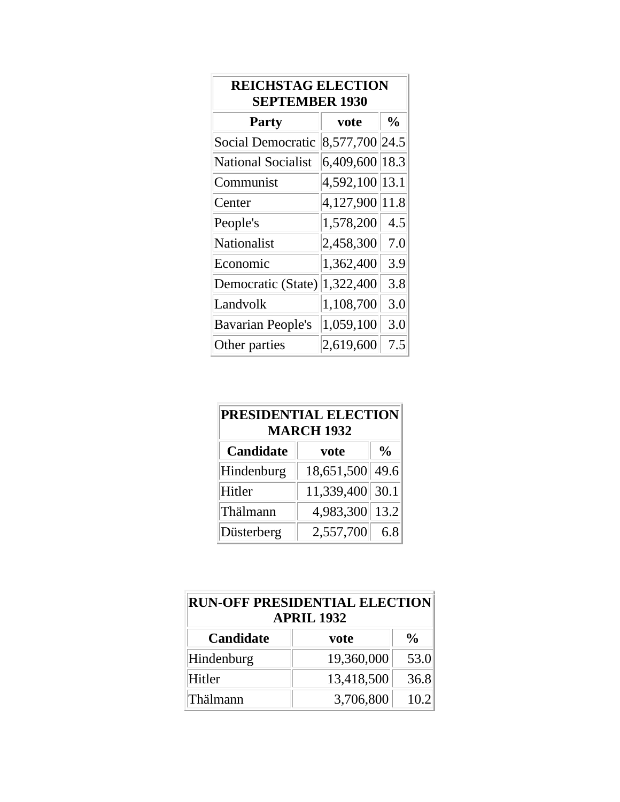| <b>REICHSTAG ELECTION</b><br><b>SEPTEMBER 1930</b> |                |               |  |
|----------------------------------------------------|----------------|---------------|--|
| <b>Party</b>                                       | vote           | $\frac{0}{0}$ |  |
| Social Democratic                                  | 8,577,700 24.5 |               |  |
| <b>National Socialist</b>                          | 6,409,600      | 18.3          |  |
| Communist                                          | 4,592,100      | 13.1          |  |
| Center                                             | 4,127,900      | 11.8          |  |
| People's                                           | 1,578,200      | 4.5           |  |
| Nationalist                                        | 2,458,300      | 7.0           |  |
| Economic                                           | 1,362,400      | 3.9           |  |
| Democratic (State)                                 | 1,322,400      | 3.8           |  |
| Landvolk                                           | 1,108,700      | 3.0           |  |
| <b>Bavarian People's</b>                           | 1,059,100      | 3.0           |  |
| Other parties                                      | 2,619,600      | 7.5           |  |

| PRESIDENTIAL ELECTION<br><b>MARCH 1932</b> |            |                |
|--------------------------------------------|------------|----------------|
| <b>Candidate</b>                           | vote       | $\frac{6}{10}$ |
| Hindenburg                                 | 18,651,500 | 49.6           |
| Hitler                                     | 11,339,400 | 30.1           |
| Thälmann                                   | 4,983,300  | 13.2           |
| Düsterberg                                 | 2,557,700  | 6.8            |

| <b>RUN-OFF PRESIDENTIAL ELECTION</b><br><b>APRIL 1932</b> |            |               |  |
|-----------------------------------------------------------|------------|---------------|--|
| <b>Candidate</b>                                          | vote       | $\frac{0}{0}$ |  |
| Hindenburg                                                | 19,360,000 | 53.0          |  |
| Hitler                                                    | 13,418,500 | 36.8          |  |
| Thälmann                                                  | 3,706,800  | 10.2          |  |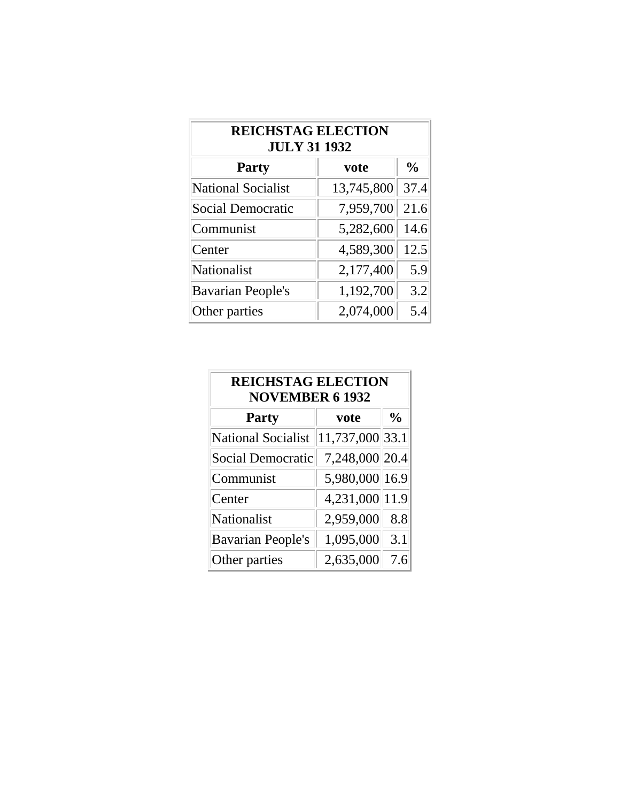| <b>REICHSTAG ELECTION</b><br><b>JULY 31 1932</b> |            |               |  |
|--------------------------------------------------|------------|---------------|--|
| <b>Party</b>                                     | vote       | $\frac{0}{0}$ |  |
| <b>National Socialist</b>                        | 13,745,800 | 37.4          |  |
| <b>Social Democratic</b>                         | 7,959,700  | 21.6          |  |
| Communist                                        | 5,282,600  | 14.6          |  |
| Center                                           | 4,589,300  | 12.5          |  |
| <b>Nationalist</b>                               | 2,177,400  | 5.9           |  |
| <b>Bavarian People's</b>                         | 1,192,700  | 3.2           |  |
| Other parties                                    | 2,074,000  | 5.4           |  |

| <b>REICHSTAG ELECTION</b><br><b>NOVEMBER 6 1932</b> |                 |               |  |
|-----------------------------------------------------|-----------------|---------------|--|
| <b>Party</b>                                        | vote            | $\frac{6}{6}$ |  |
| <b>National Socialist</b>                           | 11,737,000 33.1 |               |  |
| <b>Social Democratic</b>                            | 7,248,000 20.4  |               |  |
| Communist                                           | 5,980,000 16.9  |               |  |
| Center                                              | 4,231,000 11.9  |               |  |
| <b>Nationalist</b>                                  | 2,959,000       | 8.8           |  |
| <b>Bavarian People's</b>                            | 1,095,000       | 3.1           |  |
| Other parties                                       | 2,635,000       | 7.6           |  |